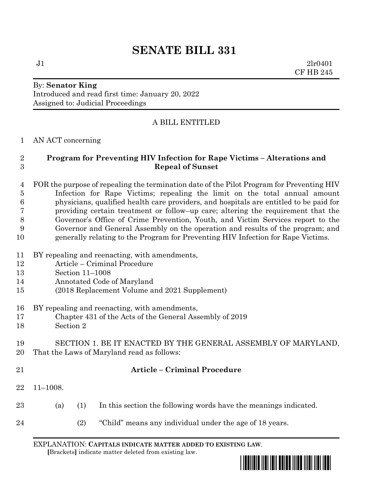# **SENATE BILL 331**

 $J1$   $2lr0401$ CF HB 245

#### By: **Senator King** Introduced and read first time: January 20, 2022 Assigned to: Judicial Proceedings

# A BILL ENTITLED

#### AN ACT concerning

### **Program for Preventing HIV Infection for Rape Victims – Alterations and Repeal of Sunset**

 FOR the purpose of repealing the termination date of the Pilot Program for Preventing HIV Infection for Rape Victims; repealing the limit on the total annual amount physicians, qualified health care providers, and hospitals are entitled to be paid for providing certain treatment or follow–up care; altering the requirement that the Governor's Office of Crime Prevention, Youth, and Victim Services report to the Governor and General Assembly on the operation and results of the program; and generally relating to the Program for Preventing HIV Infection for Rape Victims.

- BY repealing and reenacting, with amendments,
- Article Criminal Procedure
- Section 11–1008
- Annotated Code of Maryland
- (2018 Replacement Volume and 2021 Supplement)
- BY repealing and reenacting, with amendments,
- Chapter 431 of the Acts of the General Assembly of 2019
- Section 2

## SECTION 1. BE IT ENACTED BY THE GENERAL ASSEMBLY OF MARYLAND, That the Laws of Maryland read as follows:

#### **Article – Criminal Procedure**

- 11–1008.
- (a) (1) In this section the following words have the meanings indicated.
- (2) "Child" means any individual under the age of 18 years.

EXPLANATION: **CAPITALS INDICATE MATTER ADDED TO EXISTING LAW**.  **[**Brackets**]** indicate matter deleted from existing law.

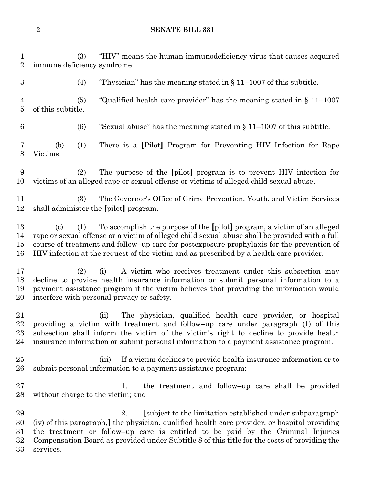#### **SENATE BILL 331**

 (3) "HIV" means the human immunodeficiency virus that causes acquired immune deficiency syndrome. 3 (4) "Physician" has the meaning stated in  $\S 11-1007$  of this subtitle. (5) "Qualified health care provider" has the meaning stated in § 11–1007 of this subtitle. 6 (6) "Sexual abuse" has the meaning stated in  $\{11-1007\}$  of this subtitle. (b) (1) There is a **[**Pilot**]** Program for Preventing HIV Infection for Rape Victims. (2) The purpose of the **[**pilot**]** program is to prevent HIV infection for victims of an alleged rape or sexual offense or victims of alleged child sexual abuse. (3) The Governor's Office of Crime Prevention, Youth, and Victim Services shall administer the **[**pilot**]** program. (c) (1) To accomplish the purpose of the **[**pilot**]** program, a victim of an alleged rape or sexual offense or a victim of alleged child sexual abuse shall be provided with a full course of treatment and follow–up care for postexposure prophylaxis for the prevention of HIV infection at the request of the victim and as prescribed by a health care provider. (2) (i) A victim who receives treatment under this subsection may decline to provide health insurance information or submit personal information to a payment assistance program if the victim believes that providing the information would interfere with personal privacy or safety. (ii) The physician, qualified health care provider, or hospital providing a victim with treatment and follow–up care under paragraph (1) of this subsection shall inform the victim of the victim's right to decline to provide health insurance information or submit personal information to a payment assistance program. (iii) If a victim declines to provide health insurance information or to submit personal information to a payment assistance program: 27 1. the treatment and follow–up care shall be provided without charge to the victim; and 2. **[**subject to the limitation established under subparagraph (iv) of this paragraph,**]** the physician, qualified health care provider, or hospital providing the treatment or follow–up care is entitled to be paid by the Criminal Injuries Compensation Board as provided under Subtitle 8 of this title for the costs of providing the services.